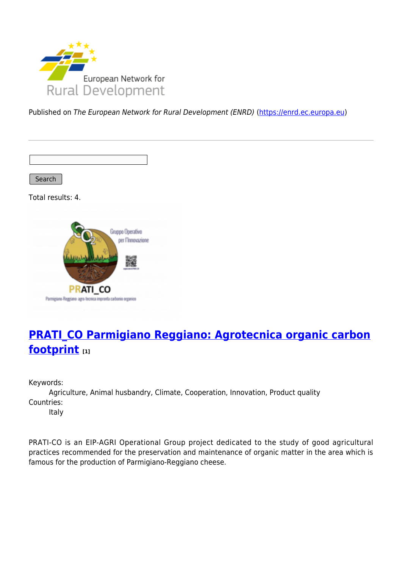

Published on The European Network for Rural Development (ENRD) [\(https://enrd.ec.europa.eu](https://enrd.ec.europa.eu))

Search

Total results: 4.



# **[PRATI\\_CO Parmigiano Reggiano: Agrotecnica organic carbon](https://enrd.ec.europa.eu/projects-practice/pratico-parmigiano-reggiano-agrotecnica-organic-carbon-footprint_en) [footprint](https://enrd.ec.europa.eu/projects-practice/pratico-parmigiano-reggiano-agrotecnica-organic-carbon-footprint_en) [1]**

Keywords:

Agriculture, Animal husbandry, Climate, Cooperation, Innovation, Product quality Countries:

Italy

PRATI-CO is an EIP-AGRI Operational Group project dedicated to the study of good agricultural practices recommended for the preservation and maintenance of organic matter in the area which is famous for the production of Parmigiano-Reggiano cheese.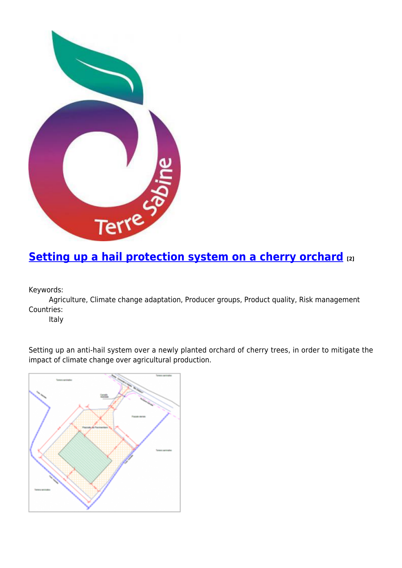

# **[Setting up a hail protection system on a cherry orchard](https://enrd.ec.europa.eu/projects-practice/setting-hail-protection-system-cherry-orchard_en) [2]**

Keywords:

Agriculture, Climate change adaptation, Producer groups, Product quality, Risk management Countries:

Italy

Setting up an anti-hail system over a newly planted orchard of cherry trees, in order to mitigate the impact of climate change over agricultural production.

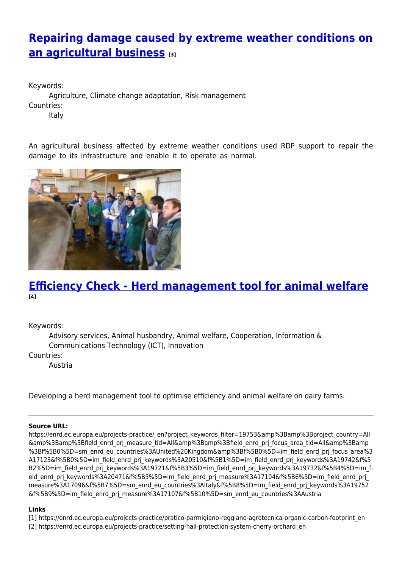# **[Repairing damage caused by extreme weather conditions on](https://enrd.ec.europa.eu/projects-practice/repairing-damage-caused-extreme-weather-conditions-agricultural-business_en) [an agricultural business](https://enrd.ec.europa.eu/projects-practice/repairing-damage-caused-extreme-weather-conditions-agricultural-business_en) [3]**

Keywords: Agriculture, Climate change adaptation, Risk management Countries: Italy

An agricultural business affected by extreme weather conditions used RDP support to repair the damage to its infrastructure and enable it to operate as normal.



## **[Efficiency Check - Herd management tool for animal welfare](https://enrd.ec.europa.eu/projects-practice/efficiency-check-herd-management-tool-animal-welfare_en) [4]**

Keywords:

Advisory services, Animal husbandry, Animal welfare, Cooperation, Information & Communications Technology (ICT), Innovation

Countries:

Austria

Developing a herd management tool to optimise efficiency and animal welfare on dairy farms.

### **Source URL:**

https://enrd.ec.europa.eu/projects-practice/\_en?project\_keywords\_filter=19753&amp%3Bamp%3Bproject\_country=All &amp%3Bamp%3Bfield\_enrd\_prj\_measure\_tid=All&amp%3Bamp%3Bfield\_enrd\_prj\_focus\_area\_tid=All&amp%3Bamp %3Bf%5B0%5D=sm\_enrd\_eu\_countries%3AUnited%20Kingdom&amp%3Bf%5B0%5D=im\_field\_enrd\_prj\_focus\_area%3 A17123&f%5B0%5D=im\_field\_enrd\_prj\_keywords%3A20510&f%5B1%5D=im\_field\_enrd\_prj\_keywords%3A19742&f%5 B2%5D=im\_field\_enrd\_prj\_keywords%3A19721&f%5B3%5D=im\_field\_enrd\_prj\_keywords%3A19732&f%5B4%5D=im\_fi eld\_enrd\_pri\_keywords%3A20471&f%5B5%5D=im\_field\_enrd\_pri\_measure%3A17104&f%5B6%5D=im\_field\_enrd\_pri measure%3A17096&f%5B7%5D=sm\_enrd\_eu\_countries%3AItaly&f%5B8%5D=im\_field\_enrd\_prj\_keywords%3A19752 &f%5B9%5D=im\_field\_enrd\_prj\_measure%3A17107&f%5B10%5D=sm\_enrd\_eu\_countries%3AAustria

### **Links**

- [1] https://enrd.ec.europa.eu/projects-practice/pratico-parmigiano-reggiano-agrotecnica-organic-carbon-footprint\_en
- [2] https://enrd.ec.europa.eu/projects-practice/setting-hail-protection-system-cherry-orchard\_en